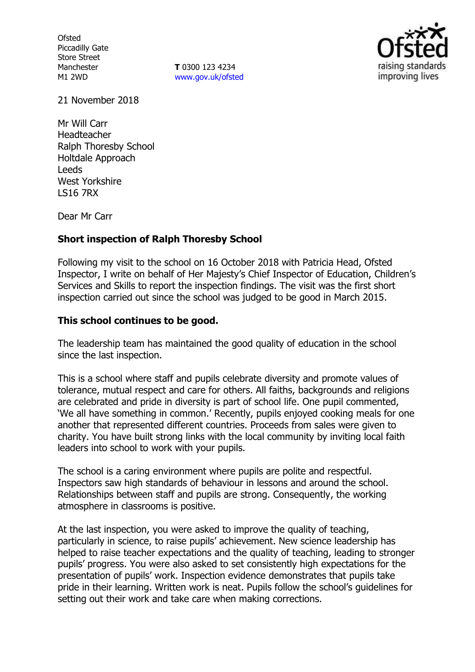**Ofsted** Piccadilly Gate Store Street Manchester M1 2WD

**T** 0300 123 4234 www.gov.uk/ofsted



21 November 2018

Mr Will Carr Headteacher Ralph Thoresby School Holtdale Approach Leeds West Yorkshire LS16 7RX

Dear Mr Carr

## **Short inspection of Ralph Thoresby School**

Following my visit to the school on 16 October 2018 with Patricia Head, Ofsted Inspector, I write on behalf of Her Majesty's Chief Inspector of Education, Children's Services and Skills to report the inspection findings. The visit was the first short inspection carried out since the school was judged to be good in March 2015.

## **This school continues to be good.**

The leadership team has maintained the good quality of education in the school since the last inspection.

This is a school where staff and pupils celebrate diversity and promote values of tolerance, mutual respect and care for others. All faiths, backgrounds and religions are celebrated and pride in diversity is part of school life. One pupil commented, 'We all have something in common.' Recently, pupils enjoyed cooking meals for one another that represented different countries. Proceeds from sales were given to charity. You have built strong links with the local community by inviting local faith leaders into school to work with your pupils.

The school is a caring environment where pupils are polite and respectful. Inspectors saw high standards of behaviour in lessons and around the school. Relationships between staff and pupils are strong. Consequently, the working atmosphere in classrooms is positive.

At the last inspection, you were asked to improve the quality of teaching, particularly in science, to raise pupils' achievement. New science leadership has helped to raise teacher expectations and the quality of teaching, leading to stronger pupils' progress. You were also asked to set consistently high expectations for the presentation of pupils' work. Inspection evidence demonstrates that pupils take pride in their learning. Written work is neat. Pupils follow the school's guidelines for setting out their work and take care when making corrections.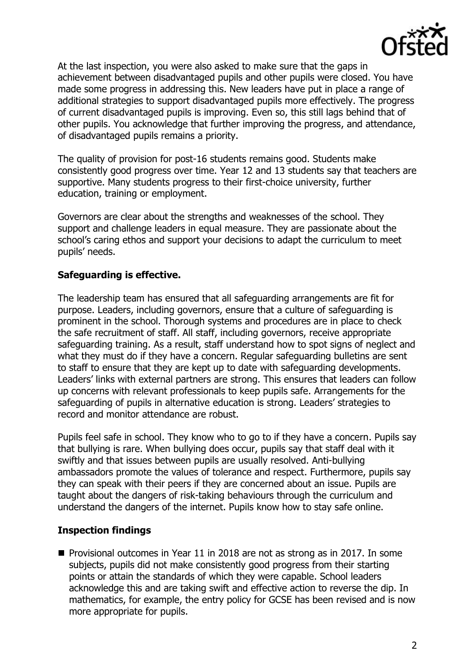

At the last inspection, you were also asked to make sure that the gaps in achievement between disadvantaged pupils and other pupils were closed. You have made some progress in addressing this. New leaders have put in place a range of additional strategies to support disadvantaged pupils more effectively. The progress of current disadvantaged pupils is improving. Even so, this still lags behind that of other pupils. You acknowledge that further improving the progress, and attendance, of disadvantaged pupils remains a priority.

The quality of provision for post-16 students remains good. Students make consistently good progress over time. Year 12 and 13 students say that teachers are supportive. Many students progress to their first-choice university, further education, training or employment.

Governors are clear about the strengths and weaknesses of the school. They support and challenge leaders in equal measure. They are passionate about the school's caring ethos and support your decisions to adapt the curriculum to meet pupils' needs.

# **Safeguarding is effective.**

The leadership team has ensured that all safeguarding arrangements are fit for purpose. Leaders, including governors, ensure that a culture of safeguarding is prominent in the school. Thorough systems and procedures are in place to check the safe recruitment of staff. All staff, including governors, receive appropriate safeguarding training. As a result, staff understand how to spot signs of neglect and what they must do if they have a concern. Regular safeguarding bulletins are sent to staff to ensure that they are kept up to date with safeguarding developments. Leaders' links with external partners are strong. This ensures that leaders can follow up concerns with relevant professionals to keep pupils safe. Arrangements for the safeguarding of pupils in alternative education is strong. Leaders' strategies to record and monitor attendance are robust.

Pupils feel safe in school. They know who to go to if they have a concern. Pupils say that bullying is rare. When bullying does occur, pupils say that staff deal with it swiftly and that issues between pupils are usually resolved. Anti-bullying ambassadors promote the values of tolerance and respect. Furthermore, pupils say they can speak with their peers if they are concerned about an issue. Pupils are taught about the dangers of risk-taking behaviours through the curriculum and understand the dangers of the internet. Pupils know how to stay safe online.

### **Inspection findings**

■ Provisional outcomes in Year 11 in 2018 are not as strong as in 2017. In some subjects, pupils did not make consistently good progress from their starting points or attain the standards of which they were capable. School leaders acknowledge this and are taking swift and effective action to reverse the dip. In mathematics, for example, the entry policy for GCSE has been revised and is now more appropriate for pupils.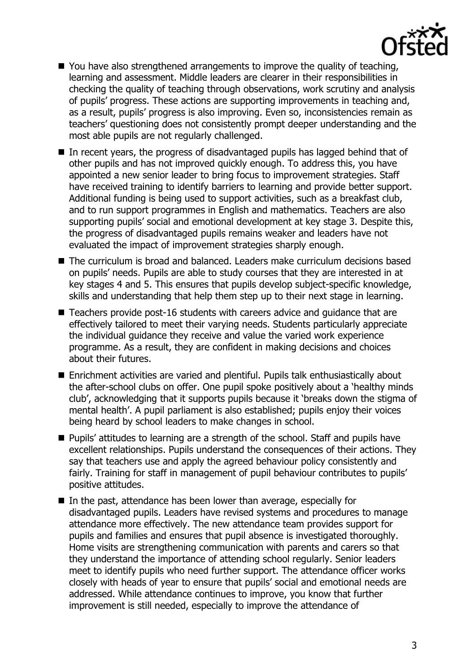

- You have also strengthened arrangements to improve the quality of teaching, learning and assessment. Middle leaders are clearer in their responsibilities in checking the quality of teaching through observations, work scrutiny and analysis of pupils' progress. These actions are supporting improvements in teaching and, as a result, pupils' progress is also improving. Even so, inconsistencies remain as teachers' questioning does not consistently prompt deeper understanding and the most able pupils are not regularly challenged.
- In recent years, the progress of disadvantaged pupils has lagged behind that of other pupils and has not improved quickly enough. To address this, you have appointed a new senior leader to bring focus to improvement strategies. Staff have received training to identify barriers to learning and provide better support. Additional funding is being used to support activities, such as a breakfast club, and to run support programmes in English and mathematics. Teachers are also supporting pupils' social and emotional development at key stage 3. Despite this, the progress of disadvantaged pupils remains weaker and leaders have not evaluated the impact of improvement strategies sharply enough.
- The curriculum is broad and balanced. Leaders make curriculum decisions based on pupils' needs. Pupils are able to study courses that they are interested in at key stages 4 and 5. This ensures that pupils develop subject-specific knowledge, skills and understanding that help them step up to their next stage in learning.
- Teachers provide post-16 students with careers advice and quidance that are effectively tailored to meet their varying needs. Students particularly appreciate the individual guidance they receive and value the varied work experience programme. As a result, they are confident in making decisions and choices about their futures.
- Enrichment activities are varied and plentiful. Pupils talk enthusiastically about the after-school clubs on offer. One pupil spoke positively about a 'healthy minds club', acknowledging that it supports pupils because it 'breaks down the stigma of mental health'. A pupil parliament is also established; pupils enjoy their voices being heard by school leaders to make changes in school.
- Pupils' attitudes to learning are a strength of the school. Staff and pupils have excellent relationships. Pupils understand the consequences of their actions. They say that teachers use and apply the agreed behaviour policy consistently and fairly. Training for staff in management of pupil behaviour contributes to pupils' positive attitudes.
- In the past, attendance has been lower than average, especially for disadvantaged pupils. Leaders have revised systems and procedures to manage attendance more effectively. The new attendance team provides support for pupils and families and ensures that pupil absence is investigated thoroughly. Home visits are strengthening communication with parents and carers so that they understand the importance of attending school regularly. Senior leaders meet to identify pupils who need further support. The attendance officer works closely with heads of year to ensure that pupils' social and emotional needs are addressed. While attendance continues to improve, you know that further improvement is still needed, especially to improve the attendance of